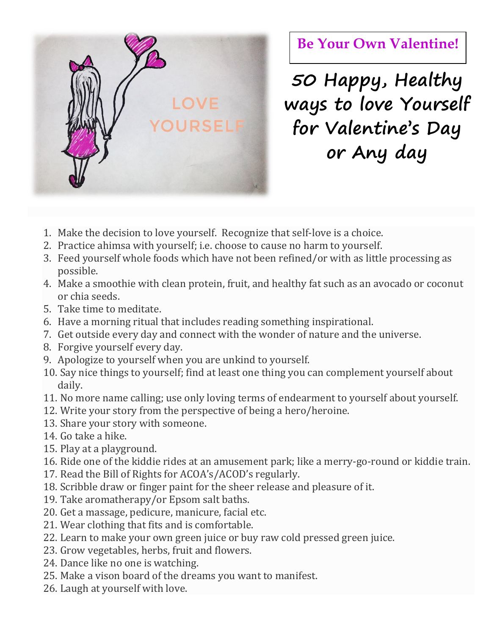

## **Be Your Own Valentine!**

**50 Happy, Healthy ways to love Yourself for Valentine's Day or Any day**

- 1. Make the decision to love yourself. Recognize that self-love is a choice.
- 2. Practice ahimsa with yourself; i.e. choose to cause no harm to yourself.
- 3. Feed yourself whole foods which have not been refined/or with as little processing as possible.
- 4. Make a smoothie with clean protein, fruit, and healthy fat such as an avocado or coconut or chia seeds.
- 5. Take time to meditate.
- 6. Have a morning ritual that includes reading something inspirational.
- 7. Get outside every day and connect with the wonder of nature and the universe.
- 8. Forgive yourself every day.
- 9. Apologize to yourself when you are unkind to yourself.
- 10. Say nice things to yourself; find at least one thing you can complement yourself about daily.
- 11. No more name calling; use only loving terms of endearment to yourself about yourself.
- 12. Write your story from the perspective of being a hero/heroine.
- 13. Share your story with someone.
- 14. Go take a hike.
- 15. Play at a playground.
- 16. Ride one of the kiddie rides at an amusement park; like a merry-go-round or kiddie train.
- 17. Read the Bill of Rights for ACOA's/ACOD's regularly.
- 18. Scribble draw or finger paint for the sheer release and pleasure of it.
- 19. Take aromatherapy/or Epsom salt baths.
- 20. Get a massage, pedicure, manicure, facial etc.
- 21. Wear clothing that fits and is comfortable.
- 22. Learn to make your own green juice or buy raw cold pressed green juice.
- 23. Grow vegetables, herbs, fruit and flowers.
- 24. Dance like no one is watching.
- 25. Make a vison board of the dreams you want to manifest.
- 26. Laugh at yourself with love.